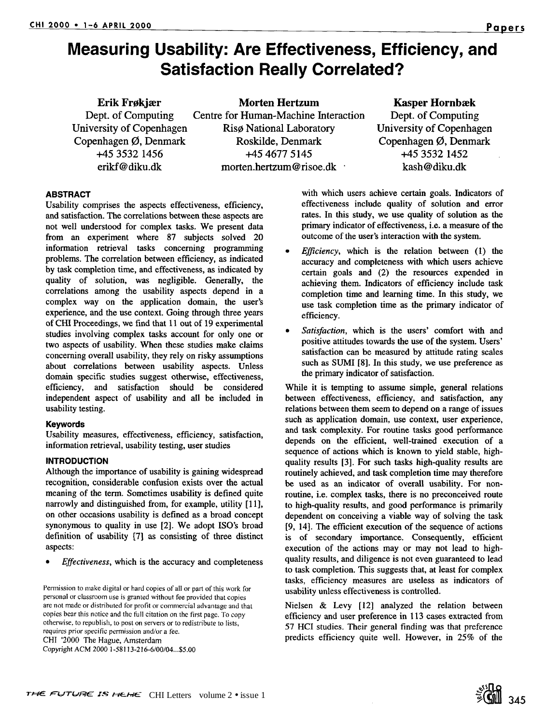**Erik Frøkjær Dept. of Computing University of Copenhagen**  Copenhagen Ø, Denmark **+45 3532 1456**  erikf@diku.dk

Morten Hertzum Centre for Human-Machine Interaction Riso National Laboratory Roskilde, Denmark +45 4677 5145 morten.hertzum@risoe.dk

# **Kasper Hornbæk**

Dept. of Computing University of Copenhagen Copenhagen  $\emptyset$ , Denmark +45 3532 1452 kash@diku.dk

# **ABSTRACT**

Usability comprises the aspects effectiveness, efficiency, and satisfaction. The correlations between these aspects are not well understood for complex tasks. We present data from an experiment where 87 subjects solved 20 information retrieval tasks concerning programming problems. The correlation between efficiency, as indicated by task completion time, and effectiveness, as indicated by quality of solution, was negligible. Generally, the correlations among the usability aspects depend in a complex way on the application domain, the user's experience, and the use context. Going through three years of CHI Proceedings, we find that 11 out of 19 experimental studies involving complex tasks account for only one or two aspects of usability. When these studies make claims concerning overall usability, they rely on risky assumptions about correlations between usability aspects. Unless domain specific studies suggest otherwise, effectiveness, efficiency, and satisfaction should be considered independent aspect of usability and all be included in usability testing.

# **Keywords**

Usability measures, effectiveness, efficiency, satisfaction, information retrieval, usability testing, user studies

# **INTRODUCTION**

Although the importance of usability is gaining widespread recognition, considerable confusion exists over the actual meaning of the term. Sometimes usability is defined quite narrowly and distinguished from, for example, utility [11], on other occasions usability is defined as a broad concept synonymous to quality in use [2]. We adopt ISO's broad definition of usability [7] as consisting of three distinct aspects:

*• Effectiveness,* which is the accuracy and completeness

Permission to make digital or hard copies of all or part of this work for personal or classroom use is granted without fee provided that copies are not made or distributed for profit or commercial advantage and that copies bear this notice and the full citation on the first page. To copy otherwise, to republish, to post on servers or to redistribute to lists, requires prior specific permission and/or a fee. CHI '2000 The Hague, Amsterdam Copyright ACM 20001-58113-216-6/00/04...\$5.00

with which users achieve certain goals. Indicators of effectiveness include quality of solution and error rates. In this study, we use quality of solution as the primary indicator of effectiveness, i.e. a measure of the outcome of the user's interaction with the system.

- *<i>Efficiency*, which is the relation between (1) the accuracy and completeness with which users achieve certain goals and (2) the resources expended in achieving them. Indicators of efficiency include task completion time and learning time. In this study, we use task completion time as the primary indicator of efficiency.
- *Satisfaction,* which is the users' comfort with and positive attitudes towards the use of the system. Users' satisfaction can be measured by attitude rating scales such as SUMI [8]. In this study, we use preference as the primary indicator of satisfaction.

While it is tempting to assume simple, general relations between effectiveness, efficiency, and satisfaction, any relations between them seem to depend on a range of issues such as application domain, use context, user experience, and task complexity. For routine tasks good performance depends on the efficient, well-trained execution of a sequence of actions which is known to yield stable, highquality results [3]. For such tasks high-quality results are routinely achieved, and task completion time may therefore be used as an indicator of overall usability. For nonroutine, i.e. complex tasks, there is no preconceived route to high-quality results, and good performance is primarily dependent on conceiving a viable way of solving the task [9, 14]. The efficient execution of the sequence of actions is of secondary importance. Consequently, efficient execution of the actions may or may not lead to highquality results, and diligence is not even guaranteed to lead to task completion. This suggests that, at least for complex tasks, efficiency measures are useless as indicators of usability unless effectiveness is controlled.

Nielsen & Levy [12] analyzed the relation between efficiency and user preference in 113 cases extracted from 57 HCI studies. Their general finding was that preference predicts efficiency quite well. However, in 25% of the

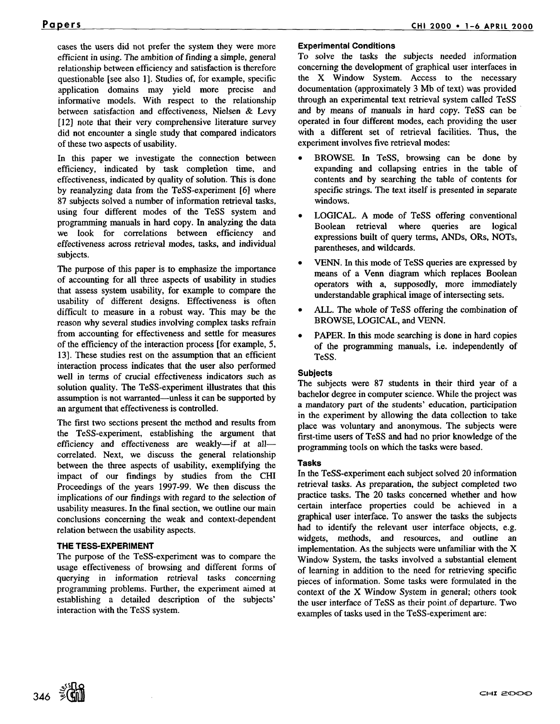cases the users did not prefer the system they were more efficient in using. The ambition of finding a simple, general relationship between efficiency and satisfaction is therefore questionable [see also 1]. Studies of, for example, specific application domains may yield more precise and informative models. With respect to the relationship between satisfaction and effectiveness, Nielsen & Levy [12] note that their very comprehensive literature survey did not encounter a single study that compared indicators of these two aspects of usability.

In this paper we investigate the connection between efficiency, indicated by task completion time, and effectiveness, indicated by quality of solution. This is done by reanalyzing data from the TeSS-experiment [6] where 87 subjects solved a number of information retrieval tasks, using four different modes of the TeSS system and programming manuals in hard copy. In analyzing the data we look for correlations between efficiency and effectiveness across retrieval modes, tasks, and individual subjects.

The purpose of this paper is to emphasize the importance of accounting for all three aspects of usability in studies that assess system usability, for example to compare the usability of different designs. Effectiveness is often difficult to measure in a robust way. This may be the reason why several studies involving complex tasks refrain from accounting for effectiveness and settle for measures of the efficiency of the interaction process [for example, 5, 13]. These studies rest on the assumption that an efficient interaction process indicates that the user also performed well in terms of crucial effectiveness indicators such as solution quality. The TeSS-experiment illustrates that this assumption is not warranted--unless it can be supported by an argument that effectiveness is controlled.

The first two sections present the method and results from the TeSS-experiment, establishing the argument that efficiency and effectiveness are weakly--if at all-correlated. Next, we discuss the general relationship between the three aspects of usability, exemplifying the impact of our findings by studies from the CHI Proceedings of the years 1997-99. We then discuss the implications of our findings with regard to the selection of usability measures. In the final section, we outline our main conclusions concerning the weak and context-dependent relation between the usability aspects.

# **THE TESS-EXPERIMENT**

The purpose of the TeSS-experiment was to compare the usage effectiveness of browsing and different forms of querying in information retrieval tasks concerning programming problems. Further, the experiment aimed at establishing a detailed description of the subjects' interaction with the TeSS system.

# **Experimental Conditions**

To solve the tasks the subjects needed information concerning the development of graphical user interfaces in the X Window System. Access to the necessary documentation (approximately 3 Mb of text) was provided through an experimental text retrieval system called TeSS and by means of manuals in hard copy. TeSS can be operated in four different modes, each providing the user with a different set of retrieval facilities. Thus, the experiment involves five retrieval modes:

- BROWSE. In TESS, browsing can be done by expanding and collapsing entries in the table of contents and by searching the table of contents for specific strings. The text itself is presented in separate windows.
- LOGICAL. A mode of TeSS offering conventional Boolean retrieval where queries are logical expressions built of query terms, ANDs, ORs, NOTs, parentheses, and wildcards.
- VENN. In this mode of TeSS queries are expressed by means of a Venn diagram which replaces Boolean operators with a, supposedly, more immediately understandable graphical image of intersecting sets.
- ALL. The whole of TeSS offering the combination of BROWSE, LOGICAL, and VENN.
- PAPER. In this mode searching is done in hard copies of the programming manuals, i.e. independently of TeSS.

# **Subjects**

The subjects were 87 students in their third year of a bachelor degree in computer science. While the project was a mandatory part of the students' education, participation in the experiment by allowing the data collection to take place was voluntary and anonymous. The subjects were first-time users of TeSS and had no prior knowledge of the programming tools on which the tasks were based.

#### **Tasks**

In the TeSS-experiment each subject solved 20 information retrieval tasks. As preparation, the subject completed two practice tasks. The 20 tasks concerned whether and how certain interface properties could be achieved in a graphical user interface. To answer the tasks the subjects had to identify the relevant user interface objects, e.g. widgets, methods, and resources, and outline an implementation. As the subjects were unfamiliar with the X Window System, the tasks involved a substantial element of learning in addition to the need for retrieving specific pieces of information. Some tasks were formulated in the context of the X Window System in general; others took the user interface of TeSS as their point of departure. Two examples of tasks used in the TeSS-experiment are:

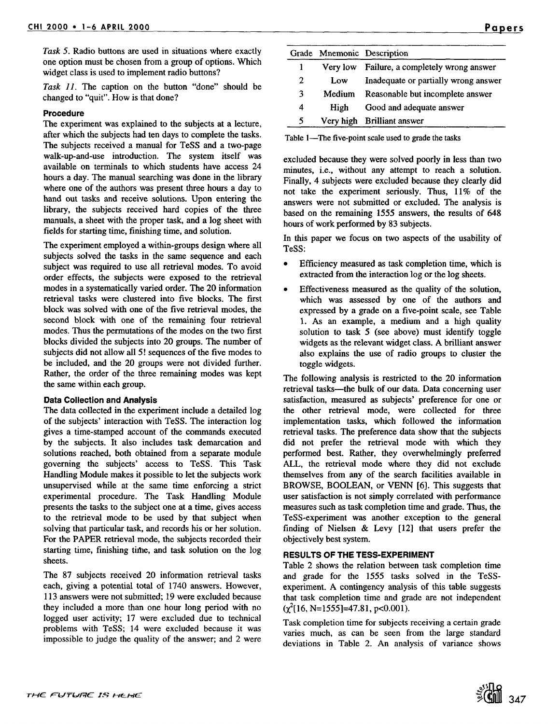*Task 5.* Radio buttons are used in situations where exactly one option must be chosen from a group of options. Which widget class is used to implement radio buttons?

*Task 11. The* caption on the button "done" should be changed to "quit". How is that done?

# **Procedure**

The experiment was explained to the subjects at a lecture, after which the subjects had ten days to complete the tasks. The subjects received a manual for TeSS and a two-page walk-up-and-use introduction. The system itself was available on terminals to which students have access 24 hours a day. The manual searching was done in the library where one of the authors was present three hours a day to hand out tasks and receive solutions. Upon entering the library, the subjects received hard copies of the three manuals, a sheet with the proper task, and a log sheet with fields for starting time, finishing time, and solution.

The experiment employed a within-groups design where all subjects solved the tasks in the same sequence and each subject was required to use all retrieval modes. To avoid order effects, the subjects were exposed to the retrieval modes in a systematically varied order. The 20 information retrieval tasks were clustered into five blocks. The first block was solved with one of the five retrieval modes, the second block with one of the remaining four retrieval modes. Thus the permutations of the modes on the two first blocks divided the subjects into 20 groups. The number of subjects did not allow all 5! sequences of the five modes to be included, and the 20 groups were not divided further. Rather, the order of the three remaining modes was kept the same within each group.

#### **Data Collection and Analysis**

The data collected in the experiment include a detailed log of the subjects' interaction with TESS. The interaction log gives a time-stamped account of the commands executed by the subjects. It also includes task demarcation and solutions reached, both obtained from a separate module governing the subjects' access to TESS. This Task Handling Module makes it possible to let the subjects work unsupervised while at the same time enforcing a strict experimental procedure. The Task Handling Module presents the tasks to the subject one at a time, gives access to the retrieval mode to be used by that subject when solving that particular task, and records his or her solution. For the PAPER retrieval mode, the subjects recorded their starting time, finishing time, and task solution on the log sheets.

The 87 subjects received 20 information retrieval tasks each, giving a potential total of 1740 answers. However, 113 answers were not submitted; 19 were excluded because they included a more than one hour long period with no logged user activity; 17 were excluded due to technical problems with TESS; 14 were excluded because it was impossible to judge the quality of the answer; and 2 were

|   |           | Grade Mnemonic Description           |
|---|-----------|--------------------------------------|
|   | Very low  | Failure, a completely wrong answer   |
| 2 | Low       | Inadequate or partially wrong answer |
| 3 | Medium    | Reasonable but incomplete answer     |
| 4 | High      | Good and adequate answer             |
| 5 | Very high | <b>Brilliant answer</b>              |

Table 1—The five-point scale used to grade the tasks

excluded because they were solved poorly in less than two minutes, i.e., without any attempt to reach a solution. Finally, 4 subjects were excluded because they clearly did not take the experiment seriously. Thus, 11% of the answers were not submitted or excluded. The analysis is based on the remaining 1555 answers, the results of 648 hours of work performed by 83 subjects.

In this paper we focus on two aspects of the usability of TeSS:

- Efficiency measured as task completion time, which is extracted from the interaction log or the log sheets.
- Effectiveness measured as the quality of the solution, which was assessed by one of the authors and expressed by a grade on a five-point scale, see Table 1. As an example, a medium and a high quality solution to task 5 (see above) must identify toggle widgets as the relevant widget class. A brilliant answer also explains the use of radio groups to cluster the toggle widgets.

The following analysis is restricted to the 20 information retrieval tasks--the bulk of our data. Data concerning user satisfaction, measured as subjects' preference for one or the other retrieval mode, were collected for three implementation tasks, which followed the information retrieval tasks. The preference data show that the subjects did not prefer the retrieval mode with which they performed best. Rather, they overwhelmingly preferred ALL, the retrieval mode where they did not exclude themselves from any of the search facilities available in BROWSE, BOOLEAN, or VENN [6]. This suggests that user satisfaction is not simply correlated with performance measures such as task completion time and grade. Thus, the TeSS-experiment was another exception to the general finding of Nielsen & Levy [12] that users prefer the objectively best system.

#### **RESULTS OF THE TESS-EXPERIMENT**

Table 2 shows the relation between task completion time and grade for the 1555 tasks solved in the TeSSexperiment. A contingency analysis of this table suggests that task completion time and grade are not independent  $(\chi^2[16, N=1555]=47.81, p<0.001)$ .

Task completion time for subjects receiving a certain grade varies much, as can be seen from the large standard deviations in Table 2. An analysis of variance shows

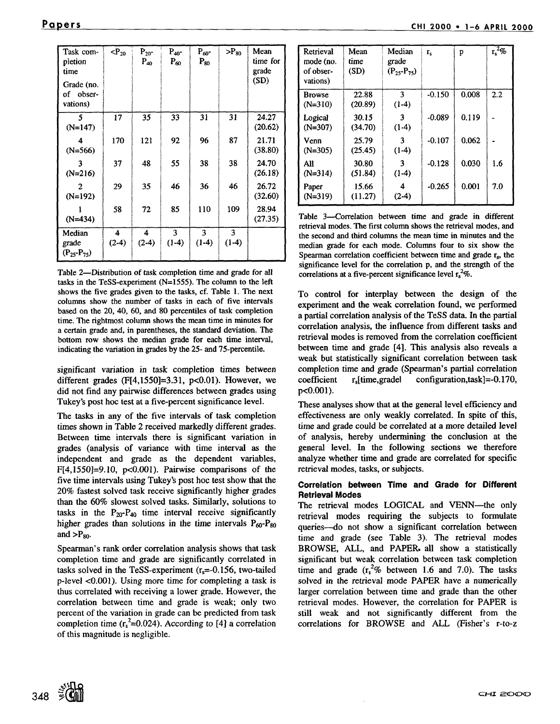| Task com-<br>pletion<br>time           | $\langle P_{20}$ | $P_{20}$ -<br>$P_{40}$ | $P_{40}$ -<br>$P_{60}$ | $P_{60}$ -<br>$P_{80}$ | $\mathsf{P}_{80}$ | Mean<br>time for<br>grade |
|----------------------------------------|------------------|------------------------|------------------------|------------------------|-------------------|---------------------------|
| Grade (no.<br>of obser-<br>vations)    |                  |                        |                        |                        |                   | (SD)                      |
| 5<br>$(N=147)$                         | 17               | 35                     | 33                     | 31                     | 31                | 24.27<br>(20.62)          |
| Δ<br>$(N=566)$                         | 170              | 121                    | 92                     | 96                     | 87                | 21.71<br>(38.80)          |
| 3<br>$(N=216)$                         | 37               | 48                     | 55                     | 38                     | 38                | 24.70<br>(26.18)          |
| 2<br>$(N=192)$                         | 29               | 35                     | 46                     | 36                     | 46                | 26.72<br>(32.60)          |
| $(N=434)$                              | 58               | 72                     | 85                     | 110                    | 109               | 28.94<br>(27.35)          |
| Median<br>grade<br>$(P_{25} - P_{75})$ | 4<br>$(2-4)$     | 4<br>$(2-4)$           | 3<br>$(1-4)$           | 3<br>$(1-4)$           | 3<br>$(1-4)$      |                           |

Table 2-Distribution of task completion time and grade for all tasks in the TeSS-experiment (N=1555). The column to the left shows the five grades given to the tasks, of. Table 1. The next columns show the number of tasks in each of five intervals based on the 20, 40, 60, and 80 percentiles of task completion time. The rightmost column shows the mean time in minutes for a certain grade and, in parentheses, the standard deviation. The bottom row shows the median grade for each time interval, indicating the variation in grades by the 25- and 75-percentile.

significant variation in task completion times between different grades  $(F[4,1550]=3.31, p<0.01)$ . However, we did not find any pairwise differences between grades using Tukey's post hoe test at a five-percent significance level.

The tasks in any of the five intervals of task completion times shown in Table 2 received markedly different grades. Between time intervals there is significant variation in grades (analysis of variance with time interval as the independent and grade as the dependent variables,  $F[4,1550]=9.10$ ,  $p<0.001$ ). Pairwise comparisons of the five time intervals using Tukey's post hoc test show that the 20% fastest solved task receive significantly higher grades than the 60% slowest solved tasks. Similarly, solutions to tasks in the  $P_{20}-P_{40}$  time interval receive significantly higher grades than solutions in the time intervals  $P_{60} - P_{80}$ and  $>_{\rm Pa0}$ .

Spearman's rank order correlation analysis shows that task completion time and grade are significantly correlated in tasks solved in the TeSS-experiment  $(r_s = -0.156$ , two-tailed p-level <0.001). Using more time for completing a task is thus correlated with receiving a lower grade. However, the correlation between time and grade is weak; only two percent of the variation in grade can be predicted from task completion time  $(r_s^2=0.024)$ . According to [4] a correlation of this magnitude is negligible.

| <sup>v</sup> apers | CHI 2000 . 1-6 APRIL 2000 |  |  |
|--------------------|---------------------------|--|--|
|                    |                           |  |  |

| Retrieval<br>mode (no.<br>of obser-<br>vations) | Mean<br>time<br>(SD) | Median<br>grade<br>$(P_{25} - P_{75})$ | $r_{s}$  | p     | $\sqrt{r_s^2}$ % |
|-------------------------------------------------|----------------------|----------------------------------------|----------|-------|------------------|
| <b>Browse</b><br>$(N=310)$                      | 22.88<br>(20.89)     | 3<br>$(1-4)$                           | $-0.150$ | 0.008 | 2.2              |
| Logical<br>$(N=307)$                            | 30.15<br>(34.70)     | 3<br>$(1-4)$                           | $-0.089$ | 0.119 |                  |
| Venn<br>$(N=305)$                               | 25.79<br>(25.45)     | 3<br>$(1-4)$                           | $-0.107$ | 0.062 |                  |
| All<br>$(N=314)$                                | 30.80<br>(51.84)     | ٦<br>$(1-4)$                           | $-0.128$ | 0.030 | 1.6              |
| Paper<br>$(N=319)$                              | 15.66<br>(11.27)     | 4<br>$(2-4)$                           | $-0.265$ | 0.001 | 7.0              |

Table 3-Correlation between time and grade in different retrieval modes. The first column shows the retrieval modes, and the second and third columns the mean time in minutes and the median grade for each mode. Columns four to six show the Spearman correlation coefficient between time and grade  $r_s$ , the significance level for the correlation p, and the strength of the correlations at a five-percent significance level  $r_s^2$ %.

To control for interplay between the design of the experiment and the weak correlation found, we performed a partial correlation analysis of the TeSS data. In the partial correlation analysis, the influence from different tasks and retrieval modes is removed from the correlation coefficient between time and grade [4]. This analysis also reveals a weak but statistically significant correlation between task completion time and grade (Spearman's partial correlation coefficient r,[time,gradel configuration,task]=-0.170, p<0.001).

These analyses show that at the general level efficiency and effectiveness are only weakly correlated. In spite of this, time and grade could be correlated at a more detailed level of analysis, hereby undermining the conclusion at the general level. In the following sections we therefore analyze whether time and grade are correlated for specific retrieval modes, tasks, or subjects.

# **Correlation between Time and Grade for Different Retrieval Modes**

The retrieval modes LOGICAL and VENN--the only retrieval modes requiring the subjects to formulate queries---do not show a significant correlation between time and grade (see Table 3). The retrieval modes BROWSE, ALL, and PAPER, all show a statistically significant but weak correlation between task completion time and grade  $(r_s^2\%$  between 1.6 and 7.0). The tasks solved in the retrieval mode PAPER have a numerically larger correlation between time and grade than the other retrieval modes. However, the correlation for PAPER is still weak and not significantly different from the correlations for BROWSE and ALL (Fisher's r-to-z

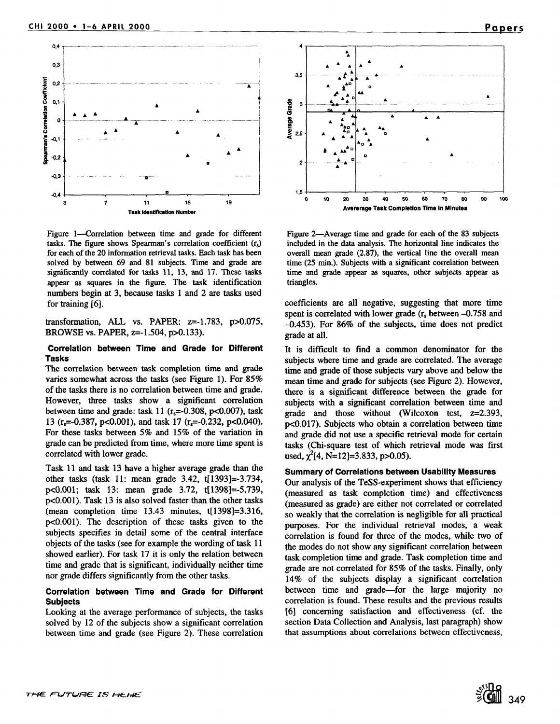

Figure 1—Correlation between time and grade for different tasks. The figure shows Spearman's correlation coefficient  $(r<sub>s</sub>)$ for each of the 20 information retrieval tasks. Each task has been solved by between 69 and 81 subjects. Time and grade are significantly correlated for tasks 11, 13, and 17. These tasks appear as squares in the figure. The task identification numbers begin at 3, because tasks 1 and 2 are tasks used for training [6].

transformation, ALL vs. PAPER: z=-1.783, p>0.075, BROWSE vs. PAPER, z=-1.504, p>0.133).

### **Correlation between Time and Grade for Different Tasks**

The correlation between task completion time and grade varies somewhat across the tasks (see Figure 1). For 85% of the tasks there is no correlation between time and grade. However, three tasks show a significant correlation between time and grade: task 11  $(r_s=-0.308, p<0.007)$ , task 13 ( $r_s$ =-0.387, p<0.001), and task 17 ( $r_s$ =-0.232, p<0.040). For these tasks between 5% and 15% of the variation in grade can be predicted from time, where more time spent is correlated with lower grade.

Task 11 and task 13 have a higher average grade than the other tasks (task 11: mean grade 3.42, t[1393]=-3.734, p<0.001; task 13: mean grade 3.72, t[1398]=-5.739, p<0.001). Task 13 is also solved faster than the other tasks (mean completion time 13.43 minutes, t[1398]=3.316, p<0.001). The description of these tasks given to the subjects specifies in detail some of the central interface objects of the tasks (see for example the wording of task 11 showed earlier). For task 17 it is only the relation between time and grade that is significant, individually neither time nor grade differs significantly from the other tasks.

### **Correlation between Time and Grade for Different Subjects**

Looking at the average performance of subjects, the tasks solved by 12 of the subjects show a significant correlation between time and grade (see Figure 2). These correlation



Figure 2—Average time and grade for each of the 83 subjects included in the data analysis. The horizontal line indicates the overall mean grade (2.87), the vertical line the overall mean time (25 min.). Subjects with a significant correlation between time and grade appear as squares, other subjects appear as triangles.

coefficients are all negative, suggesting that more time spent is correlated with lower grade  $(r<sub>s</sub>$  between  $-0.758$  and -0.453). For 86% of the subjects, time does not predict grade at all.

It is difficult to find a common denominator for the subjects where time and grade are correlated. The average time and grade of those subjects vary above and below the mean time and grade for subjects (see Figure 2). However, there is a significant difference between the grade for subjects with a significant correlation between time and grade and those without (Wilcoxon test, z=2.393, p<0.017). Subjects who obtain a correlation between time and grade did not use a specific retrieval mode for certain tasks (Chi-square test of which retrieval mode was first used,  $\chi^2$ [4, N=12]=3.833, p>0.05).

#### **Summary of Correlations between Usability Measures**

Our analysis of the TeSS-experiment shows that efficiency (measured as task completion time) and effectiveness (measured as grade) are either not correlated or correlated so weakly that the correlation is negligible for all practical purposes. For the individual retrieval modes, a weak correlation is found for three of the modes, while two of the modes do not show any significant correlation between task completion time and grade. Task completion time and grade are not correlated for 85% of the tasks. Finally, only 14% of the subjects display a significant correlation between time and grade-for the large majority no correlation is found. These results and the previous results [6] concerning satisfaction and effectiveness (cf. the section Data Collection and Analysis, last paragraph) show that assumptions about correlations between effectiveness,

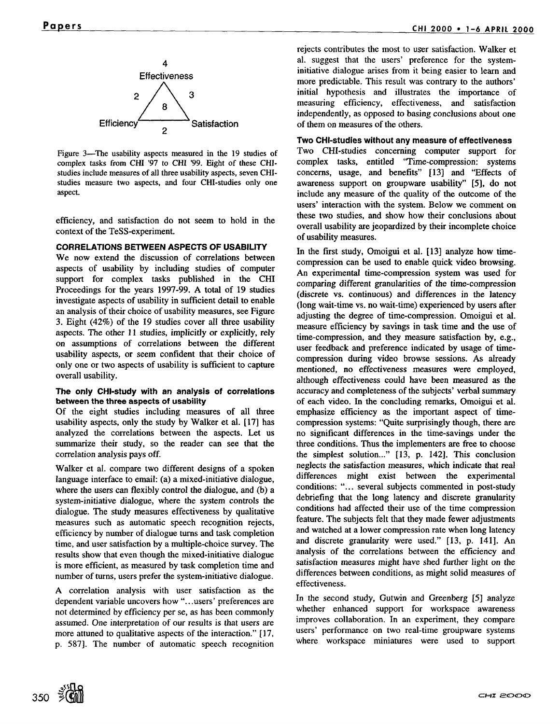

Figure 3—The usability aspects measured in the 19 studies of complex tasks from CHI '97 to CHI '99. Eight of these CHIstudies include measures of all three usability aspects, seven CHIstudies measure two aspects, and four CHI-studies only one aspect.

efficiency, and satisfaction do not seem to hold in the context of the TeSS-experiment.

## **CORRELATIONS BETWEEN ASPECTS OF USABILITY**

We now extend the discussion of correlations between aspects of usability by including studies of computer support for complex tasks published in the CHI Proceedings for the years 1997-99. A total of 19 studies investigate aspects of usability in sufficient detail to enable an analysis of their choice of usability measures, see Figure 3. Eight (42%) of the 19 studies cover all three usability aspects. The other 11 studies, implicitly or explicitly, rely on assumptions of correlations between the different usability aspects, or seem confident that their choice of only one or two aspects of usability is sufficient to capture overall usability.

#### **The only CHI-study with an analysis of correlations between the three aspects of usability**

Of the eight studies including measures of all three usability aspects, only the study by Walker et al. [17] has analyzed the correlations between the aspects. Let us summarize their study, so the reader can see that the correlation analysis pays off.

Walker et al. compare two different designs of a spoken language interface to email: (a) a mixed-initiative dialogue, where the users can flexibly control the dialogue, and (b) a system-initiative dialogue, where the system controls the dialogue. The study measures effectiveness by qualitative measures such as automatic speech recognition rejects, efficiency by number of dialogue turns and task completion time, and user satisfaction by a multiple-choice survey. The results show that even though the mixed-initiative dialogue is more efficient, as measured by task completion time and number of turns, users prefer the system-initiative dialogue.

A correlation analysis with user satisfaction as the dependent variable uncovers how "...users' preferences are not determined by efficiency per se, as has been commonly assumed. One interpretation of our results is that users are more attuned to qualitative aspects of the interaction." [17, p. 587]. The number of automatic speech recognition rejects contributes the most to user satisfaction. Walker et al. suggest that the users' preference for the systeminitiative dialogue arises from it being easier to learn and more predictable. This result was contrary to the authors' initial hypothesis and illustrates the importance of measuring efficiency, effectiveness, and satisfaction independently, as opposed to basing conclusions about one of them on measures of the others.

# **Two CHI-studies without any measure of effectiveness**

Two CHI-studies concerning computer support for complex tasks, entitled "Time-compression: systems concerns, usage, and benefits" [13] and "Effects of awareness support on groupware usability" [5], do not include any measure of the quality of the outcome of the users' interaction with the system. Below we comment on these two studies, and show how their conclusions about overall usability are jeopardized by their incomplete choice of usability measures.

In the first study, Omoigui et al. [13] analyze how timecompression can be used to enable quick video browsing. An experimental time-compression system was used for comparing different granularities of the time-compression (discrete vs. continuous) and differences in the latency (long wait-time vs. no wait-time) experienced by users after adjusting the degree of time-compression. Omoigui et al. measure efficiency by savings in task time and the use of time-compression, and they measure satisfaction by, e.g., user feedback and preference indicated by usage of timecompression during video browse sessions. As already mentioned, no effectiveness measures were employed, although effectiveness could have been measured as the accuracy and completeness of the subjects' verbal summary of each video. In the concluding remarks, Omoigui et al. emphasize efficiency as the important aspect of timecompression systems: "Quite surprisingly though, there are no significant differences in the time-savings under the three conditions. Thus the implementers are free to choose the simplest solution..." [13, p. 142]. This conclusion neglects the satisfaction measures, which indicate that real differences might exist between the experimental conditions: "... several subjects commented in post-study debriefing that the long latency and discrete granularity conditions had affected their use of the time compression feature. The subjects felt that they made fewer adjustments and watched at a lower compression rate when long latency and discrete granularity were used." [13, p. I4I]. An analysis of the correlations between the efficiency and satisfaction measures might have shed further light on the differences between conditions, as might solid measures of effectiveness.

In the second study, Gutwin and Greenberg [5] analyze whether enhanced support for workspace awareness improves collaboration. In an experiment, they compare users' performance on two real-time groupware systems where workspace miniatures were used to support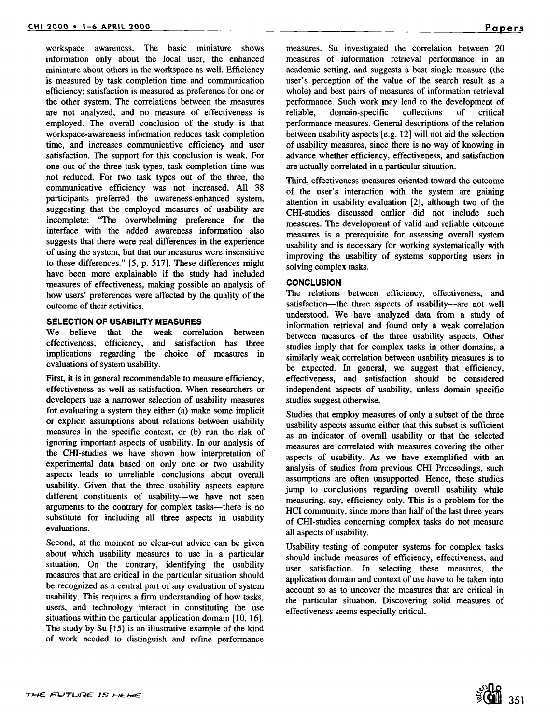workspace awareness. The basic miniature shows information only about the local user, the enhanced miniature about others in the workspace as well. Efficiency is measured by task completion time and communication efficiency; satisfaction is measured as preference for one or the other system. The correlations between the measures are not analyzed, and no measure of effectiveness is employed. The overall conclusion of the study is that workspace-awareness information reduces task completion time, and increases communicative efficiency and user satisfaction. The support for this conclusion is weak. For one out of the three task types, task completion time was not reduced. For two task types out of the three, the communicative efficiency was not increased. All 38 participants preferred the awareness-enhanced system, suggesting that the employed measures of usability are incomplete: "The overwhelming preference for the interface with the added awareness information also suggests that there were real differences in the experience of using the system, but that our measures were insensitive to these differences," [5, p. 517]. These differences might have been more explainable if the study had included measures of effectiveness, making possible an analysis of how users' preferences were affected by the quality of the outcome of their activities.

#### **SELECTION OF USABILITY MEASURES**

We believe that the weak correlation between effectiveness, efficiency, and satisfaction has three implications regarding the choice of measures in evaluations of system usability.

First, it is in general recommendable to measure efficiency, effectiveness as well as satisfaction. When researchers or developers use a narrower selection of usability measures for evaluating a system they either (a) make some implicit or explicit assumptions about relations between usability measures in the specific context, or (b) run the risk of ignoring important aspects of usability. In our analysis of the CHI-studies we have shown how interpretation of experimental data based on only one or two usability aspects leads to unreliable conclusions about overall usability. Given that the three usability aspects capture different constituents of usability--we have not seen arguments to the contrary for complex tasks-there is no substitute for including all three aspects in usability evaluations.

Second, at the moment no clear-cut advice can be given about which usability measures to use in a particular situation. On the contrary, identifying the usability measures that are critical in the particular situation should be recognized as a central part of any evaluation of system usability. This requires a firm understanding of how tasks, users, and technology interact in constituting the use situations within the particular application domain [10, 16]. The study by Su [15] is an illustrative example of the kind of work needed to distinguish and refine performance measures. Su investigated the correlation between 20 measures of information retrieval performance in an academic setting, and suggests a best single measure (the user's perception of the value of the search result as a whole) and best pairs of measures of information retrieval performance. Such work may lead to the development of reliable, domain-specific collections of critical performance measures. General descriptions of the relation between usability aspects [e.g. 12] will not aid the selection of usability measures, since there is no way of knowing in advance whether efficiency, effectiveness, and satisfaction are actually correlated in a particular situation.

Third, effectiveness measures oriented toward the outcome of the user's interaction with the system are gaining attention in usability evaluation [2], although two of the CHI-studies discussed earlier did not include such measures. The development of valid and reliable outcome measures is a prerequisite for assessing overall system usability and is necessary for working systematically with improving the usability of systems supporting users in solving complex tasks.

# **CONCLUSION**

The relations between efficiency, effectiveness, and satisfaction---the three aspects of usability---are not well understood. We have analyzed data from a study of information retrieval and found only a weak correlation between measures of the three usability aspects. Other studies imply that for complex tasks in other domains, a similarly weak correlation between usability measures is to be expected. In general, we suggest that efficiency, effectiveness, and satisfaction should be considered independent aspects of usability, unless domain specific studies suggest otherwise.

Studies that employ measures of only a subset of the three usability aspects assume either that this subset is sufficient as an indicator of overall usability or that the selected measures are correlated with measures covering the other aspects of usability. As we have exemplified with an analysis of studies from previous CHI Proceedings, such assumptions are often unsupported. Hence, these studies jump to conclusions regarding overall usability while measuring, say, efficiency only. This is a problem for the HCI community, since more than half of the last three years of CHI-studies concerning complex tasks do not measure all aspects of usability.

Usability testing of computer systems for complex tasks should include measures of efficiency, effectiveness, and user satisfaction. In selecting these measures, the application domain and context of use have to be taken into account so as to uncover the measures that are critical in the particular situation. Discovering solid measures of effectiveness seems especially critical.